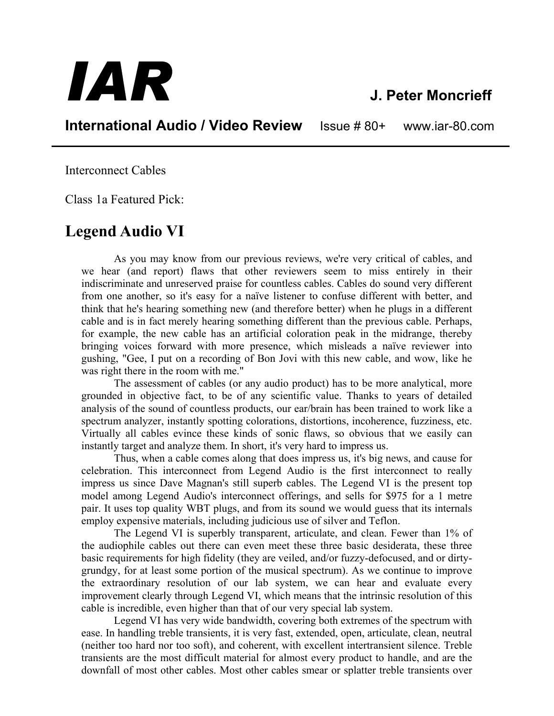## *IAR* **J. Peter Moncrieff**

**International Audio / Video Review** Issue # 80+ www.iar-80.com

Interconnect Cables

Class 1a Featured Pick:

## **Legend Audio VI**

As you may know from our previous reviews, we're very critical of cables, and we hear (and report) flaws that other reviewers seem to miss entirely in their indiscriminate and unreserved praise for countless cables. Cables do sound very different from one another, so it's easy for a naïve listener to confuse different with better, and think that he's hearing something new (and therefore better) when he plugs in a different cable and is in fact merely hearing something different than the previous cable. Perhaps, for example, the new cable has an artificial coloration peak in the midrange, thereby bringing voices forward with more presence, which misleads a naïve reviewer into gushing, "Gee, I put on a recording of Bon Jovi with this new cable, and wow, like he was right there in the room with me."

The assessment of cables (or any audio product) has to be more analytical, more grounded in objective fact, to be of any scientific value. Thanks to years of detailed analysis of the sound of countless products, our ear/brain has been trained to work like a spectrum analyzer, instantly spotting colorations, distortions, incoherence, fuzziness, etc. Virtually all cables evince these kinds of sonic flaws, so obvious that we easily can instantly target and analyze them. In short, it's very hard to impress us.

Thus, when a cable comes along that does impress us, it's big news, and cause for celebration. This interconnect from Legend Audio is the first interconnect to really impress us since Dave Magnan's still superb cables. The Legend VI is the present top model among Legend Audio's interconnect offerings, and sells for \$975 for a 1 metre pair. It uses top quality WBT plugs, and from its sound we would guess that its internals employ expensive materials, including judicious use of silver and Teflon.

The Legend VI is superbly transparent, articulate, and clean. Fewer than 1% of the audiophile cables out there can even meet these three basic desiderata, these three basic requirements for high fidelity (they are veiled, and/or fuzzy-defocused, and or dirtygrundgy, for at least some portion of the musical spectrum). As we continue to improve the extraordinary resolution of our lab system, we can hear and evaluate every improvement clearly through Legend VI, which means that the intrinsic resolution of this cable is incredible, even higher than that of our very special lab system.

Legend VI has very wide bandwidth, covering both extremes of the spectrum with ease. In handling treble transients, it is very fast, extended, open, articulate, clean, neutral (neither too hard nor too soft), and coherent, with excellent intertransient silence. Treble transients are the most difficult material for almost every product to handle, and are the downfall of most other cables. Most other cables smear or splatter treble transients over